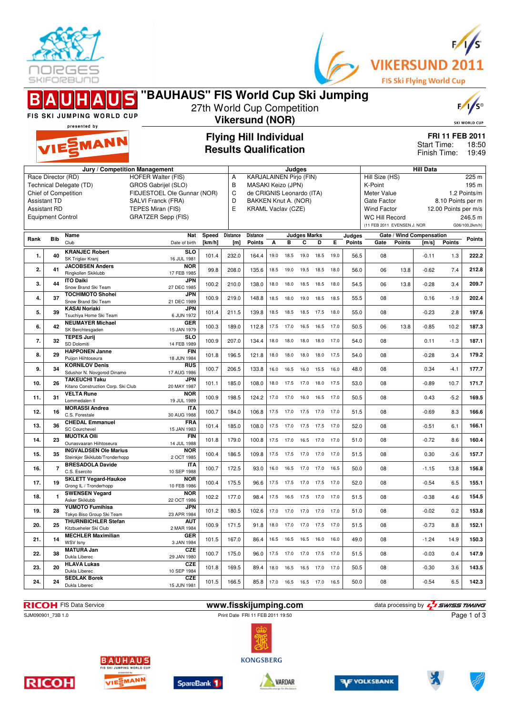



|                                                                                                                                                                                         |            | <b>FIS SKI JUMPING WORLD CUP</b>                                                          | 'BAUHAUS'' FIS World Cup Ski Jumping                                                                                     | 27th World Cup Competition                                                                                                                                                                               | <b>Vikersund (NOR)</b> |                                  |      |                   |                              |                |                                                                                                                                                                                                                        |                  |          |                                             |                                   |                                   | F/1/s<br><b>SKI WORLD CUP</b> |
|-----------------------------------------------------------------------------------------------------------------------------------------------------------------------------------------|------------|-------------------------------------------------------------------------------------------|--------------------------------------------------------------------------------------------------------------------------|----------------------------------------------------------------------------------------------------------------------------------------------------------------------------------------------------------|------------------------|----------------------------------|------|-------------------|------------------------------|----------------|------------------------------------------------------------------------------------------------------------------------------------------------------------------------------------------------------------------------|------------------|----------|---------------------------------------------|-----------------------------------|-----------------------------------|-------------------------------|
|                                                                                                                                                                                         |            | presented by<br>VIESMANN                                                                  |                                                                                                                          | <b>Flying Hill Individual</b><br><b>Results Qualification</b>                                                                                                                                            |                        |                                  |      |                   |                              |                |                                                                                                                                                                                                                        |                  |          | Start Time:<br>Finish Time:                 |                                   | FRI 11 FEB 2011<br>18:50<br>19:49 |                               |
| Jury / Competition Management<br>Race Director (RD)<br>Technical Delegate (TD)<br><b>Chief of Competition</b><br><b>Assistant TD</b><br><b>Assistant RD</b><br><b>Equipment Control</b> |            |                                                                                           | <b>HOFER Walter (FIS)</b><br>GROS Gabrijel (SLO)<br>SALVI Franck (FRA)<br>TEPES Miran (FIS)<br><b>GRATZER Sepp (FIS)</b> | Judges<br><b>KARJALAINEN Pirjo (FIN)</b><br>Α<br>B<br>MASAKI Keizo (JPN)<br>C<br>FIDJESTOEL Ole Gunnar (NOR)<br>de CRIGNIS Leonardo (ITA)<br>D<br>BAKKEN Knut A. (NOR)<br>E<br><b>KRAML Vaclav (CZE)</b> |                        |                                  |      |                   |                              |                | <b>Hill Data</b><br>Hill Size (HS)<br>K-Point<br>Meter Value<br>1.2 Points/m<br>Gate Factor<br>8.10 Points per m<br><b>Wind Factor</b><br>12.00 Points per m/s<br><b>WC Hill Record</b><br>(11 FEB 2011 EVENSEN J. NOR |                  |          | 225 m<br>195 m<br>246.5 m<br>G06/100.2km/h) |                                   |                                   |                               |
| Rank                                                                                                                                                                                    | <b>Bib</b> | Name<br>Club                                                                              | Nat<br>Date of birth                                                                                                     | Speed<br>[km/h]                                                                                                                                                                                          | <b>Distance</b><br>[m] | <b>Distance</b><br><b>Points</b> | А    | в                 | <b>Judges Marks</b><br>c     | D              | Е                                                                                                                                                                                                                      | Judges<br>Points | Gate     | Points                                      | Gate / Wind Compensation<br>[m/s] | <b>Points</b>                     | Points                        |
| 1.                                                                                                                                                                                      | 40         | <b>KRANJEC Robert</b><br>SK Triglav Kranj                                                 | <b>SLO</b><br>16 JUL 1981                                                                                                | 101.4                                                                                                                                                                                                    | 232.0                  | 164.4                            | 19.0 | 18.5              | 19.0                         | 18.5           | 19.0                                                                                                                                                                                                                   | 56.5             | 08       |                                             | $-0.11$                           | 1.3                               | 222.2                         |
| 2.                                                                                                                                                                                      | 41         | <b>JACOBSEN Anders</b><br>Ringkollen Skiklubb                                             | <b>NOR</b><br>17 FEB 1985                                                                                                | 99.8                                                                                                                                                                                                     | 208.0                  | 135.6                            |      | 18.5 19.0         |                              | 19.5 18.5 18.0 |                                                                                                                                                                                                                        | 56.0             | 06       | 13.8                                        | $-0.62$                           | 7.4                               | 212.8                         |
| 3.                                                                                                                                                                                      | 44         | <b>ITO Daiki</b><br>Snow Brand Ski Team                                                   | <b>JPN</b><br>27 DEC 1985                                                                                                | 100.2                                                                                                                                                                                                    | 210.0                  | 138.0                            | 18.0 | 18.0              | 18.5                         | 18.5           | 18.0                                                                                                                                                                                                                   | 54.5             | 06       | 13.8                                        | $-0.28$                           | 3.4                               | 209.7                         |
| 4.                                                                                                                                                                                      | 37         | <b>TOCHIMOTO Shohei</b><br>Snow Brand Ski Team                                            | JPN<br>21 DEC 1989                                                                                                       | 100.9                                                                                                                                                                                                    | 219.0                  | 148.8                            | 18.5 | 18.0              | 19.0                         | 18.5           | 18.5                                                                                                                                                                                                                   | 55.5             | 08       |                                             | 0.16                              | $-1.9$                            | 202.4                         |
| 5.                                                                                                                                                                                      | 39         | <b>KASAI Noriaki</b><br>Tsuchiva Home Ski Team<br><b>NEUMAYER Michael</b>                 | <b>JPN</b><br>6 JUN 1972<br>GER                                                                                          | 101.4                                                                                                                                                                                                    | 211.5                  | 139.8                            | 18.5 | 18.5              | 18.5 17.5                    |                | 18.0                                                                                                                                                                                                                   | 55.0             | 08       |                                             | $-0.23$                           | 2.8                               | 197.6                         |
| 6.                                                                                                                                                                                      | 42         | SK Berchtesgaden<br><b>TEPES Jurij</b>                                                    | 15 JAN 1979<br>SLO                                                                                                       | 100.3                                                                                                                                                                                                    | 189.0                  | 112.8                            |      | 17.5 17.0         | 16.5 16.5                    |                | 17.0                                                                                                                                                                                                                   | 50.5             | 06       | 13.8                                        | $-0.85$                           | 10.2                              | 187.3                         |
| 7.                                                                                                                                                                                      | 32         | SD Dolomiti<br><b>HAPPONEN Janne</b>                                                      | 14 FEB 1989<br><b>FIN</b>                                                                                                | 100.9                                                                                                                                                                                                    | 207.0                  | 134.4                            | 18.0 | 18.0              |                              | 18.0 18.0 17.0 |                                                                                                                                                                                                                        | 54.0             | 08       |                                             | 0.11                              | $-1.3$                            | 187.1                         |
| 8.                                                                                                                                                                                      | 29         | Puijon Hiihtoseura<br><b>KORNILOV Denis</b>                                               | 18 JUN 1984<br><b>RUS</b>                                                                                                | 101.8                                                                                                                                                                                                    | 196.5                  | 121.8                            | 18.0 | 18.0              | 18.0                         | 18.0           | 17.5                                                                                                                                                                                                                   | 54.0             | 08       |                                             | $-0.28$                           | 3.4                               | 179.2                         |
| 9.                                                                                                                                                                                      | 34         | Sdushor N. Novgorod Dinamo<br><b>TAKEUCHI Taku</b>                                        | 17 AUG 1986<br><b>JPN</b>                                                                                                | 100.7                                                                                                                                                                                                    | 206.5                  | 133.8                            | 16.0 | 16.5              | 16.0                         | 15.5           | 16.0                                                                                                                                                                                                                   | 48.0             | 08       |                                             | 0.34                              | $-4.1$                            | 177.7                         |
| 10.<br>11.                                                                                                                                                                              | 26<br>31   | Kitano Construction Corp. Ski Club<br><b>VELTA Rune</b>                                   | 20 MAY 1987<br><b>NOR</b>                                                                                                | 101.1<br>100.9                                                                                                                                                                                           | 185.0<br>198.5         | 108.0<br>124.2                   | 18.0 | 17.5<br>17.0 17.0 | 17.0<br>16.0 16.5 17.0       | 18.0           | 17.5                                                                                                                                                                                                                   | 53.0<br>50.5     | 08<br>08 |                                             | $-0.89$<br>0.43                   | 10.7<br>$-5.2$                    | 171.7<br>169.5                |
| 12.                                                                                                                                                                                     | 16         | Lommedalen II<br><b>MORASSI Andrea</b>                                                    | 19 JUL 1989<br><b>ITA</b>                                                                                                | 100.7                                                                                                                                                                                                    | 184.0                  | 106.8                            |      |                   | 17.5 17.0 17.5 17.0 17.0     |                |                                                                                                                                                                                                                        | 51.5             | 08       |                                             | $-0.69$                           | 8.3                               | 166.6                         |
| 13.                                                                                                                                                                                     | 36         | C.S. Forestale<br><b>CHEDAL Emmanuel</b>                                                  | 30 AUG 1988<br><b>FRA</b>                                                                                                | 101.4                                                                                                                                                                                                    | 185.0                  | 108.0                            | 17.5 | 17.0              | 17.5 17.5                    |                | 17.0                                                                                                                                                                                                                   | 52.0             | 08       |                                             | $-0.51$                           | 6.1                               | 166.1                         |
| 14.                                                                                                                                                                                     | 23         | <b>SC Courchevel</b><br><b>MUOTKA Olli</b>                                                | 15 JAN 1983<br><b>FIN</b>                                                                                                | 101.8                                                                                                                                                                                                    | 179.0                  | 100.8                            | 17.5 | 17.0              | 16.5 17.0                    |                | 17.0                                                                                                                                                                                                                   | 51.0             | 08       |                                             | $-0.72$                           | 8.6                               | 160.4                         |
| 15.                                                                                                                                                                                     | 35         | Ounasvaaran Hiihtoseura<br><b>INGVALDSEN Ole Marius</b><br>Steinkjer Skiklubb/Tronderhopp | 14 JUL 1988<br><b>NOR</b><br>2 OCT 1985                                                                                  | 100.4                                                                                                                                                                                                    | 186.5                  | 109.8                            |      | 17.5 17.5         | 17.0 17.0                    |                | 17.0                                                                                                                                                                                                                   | 51.5             | 08       |                                             | 0.30                              | $-3.6$                            | 157.7                         |
| 16.                                                                                                                                                                                     | 7          | <b>BRESADOLA Davide</b><br>C.S. Esercito                                                  | <b>ITA</b><br>10 SEP 1988                                                                                                | 100.7                                                                                                                                                                                                    | 172.5                  | 93.0                             | 16.0 |                   | 16.5 17.0                    | 17.0           | 16.5                                                                                                                                                                                                                   | 50.0             | 08       |                                             | $-1.15$                           | 13.8                              | 156.8                         |
| 17.                                                                                                                                                                                     | 19         | <b>SKLETT Vegard-Haukoe</b><br>Grong IL / Tronderhopp                                     | <b>NOR</b><br>10 FEB 1986                                                                                                | 100.4                                                                                                                                                                                                    | 175.5                  | 96.6                             |      |                   | 17.5 17.5 17.0 17.5 17.0     |                |                                                                                                                                                                                                                        | 52.0             | 08       |                                             | $-0.54$                           | 6.5                               | 155.1                         |
| 18.                                                                                                                                                                                     | 1          | <b>SWENSEN Vegard</b><br>Asker Skiklubb                                                   | <b>NOR</b><br>22 OCT 1986                                                                                                | 102.2                                                                                                                                                                                                    | 177.0                  | 98.4                             |      |                   | 17.5  16.5  17.5  17.0  17.0 |                |                                                                                                                                                                                                                        | 51.5             | 08       |                                             | $-0.38$                           | 4.6                               | 154.5                         |
| 19.                                                                                                                                                                                     | 28         | <b>YUMOTO Fumihisa</b><br>Tokyo Biso Group Ski Team                                       | <b>JPN</b><br>23 APR 1984                                                                                                | 101.2                                                                                                                                                                                                    | 180.5                  | 102.6                            |      |                   | 17.0  17.0  17.0  17.0  17.0 |                |                                                                                                                                                                                                                        | 51.0             | 08       |                                             | $-0.02$                           | 0.2                               | 153.8                         |
| 20.                                                                                                                                                                                     | 25         | <b>THURNBICHLER Stefan</b><br>Kitzbueheler Ski Club                                       | AUT<br>2 MAR 1984                                                                                                        | 100.9                                                                                                                                                                                                    | 171.5                  | 91.8                             |      |                   | 18.0 17.0 17.0 17.5 17.0     |                |                                                                                                                                                                                                                        | 51.5             | 08       |                                             | $-0.73$                           | 8.8                               | 152.1                         |
| 21.                                                                                                                                                                                     | 14         | <b>MECHLER Maximilian</b><br>WSV Isny                                                     | GER<br>3 JAN 1984                                                                                                        | 101.5                                                                                                                                                                                                    | 167.0                  | 86.4                             |      |                   | 16.5  16.5  16.5  16.0  16.0 |                |                                                                                                                                                                                                                        | 49.0             | 08       |                                             | $-1.24$                           | 14.9                              | 150.3                         |
| 22.                                                                                                                                                                                     | 38         | <b>MATURA Jan</b><br>Dukla Liberec                                                        | <b>CZE</b><br>29 JAN 1980                                                                                                | 100.7                                                                                                                                                                                                    | 175.0                  | 96.0                             |      |                   | 17.5 17.0 17.0 17.5 17.0     |                |                                                                                                                                                                                                                        | 51.5             | 08       |                                             | $-0.03$                           | 0.4                               | 147.9                         |
| 23.                                                                                                                                                                                     | 20         | <b>HLAVA Lukas</b><br>Dukla Liberec                                                       | CZE<br>10 SEP 1984                                                                                                       | 101.8                                                                                                                                                                                                    | 169.5                  | 89.4                             |      |                   | 18.0  16.5  16.5  17.0  17.0 |                |                                                                                                                                                                                                                        | 50.5             | 08       |                                             | $-0.30$                           | 3.6                               | 143.5                         |
| 24.                                                                                                                                                                                     | 24         | <b>SEDLAK Borek</b><br>Dukla Liberec                                                      | <b>CZE</b><br>15 JUN 1981                                                                                                | 101.5                                                                                                                                                                                                    | 166.5                  | 85.8                             |      |                   | 17.0  16.5  16.5  17.0  16.5 |                |                                                                                                                                                                                                                        | 50.0             | 08       |                                             | $-0.54$                           | 6.5                               | 142.3                         |

Print Date FRI 11 FEB 2011 19:50



Page 1 of 3















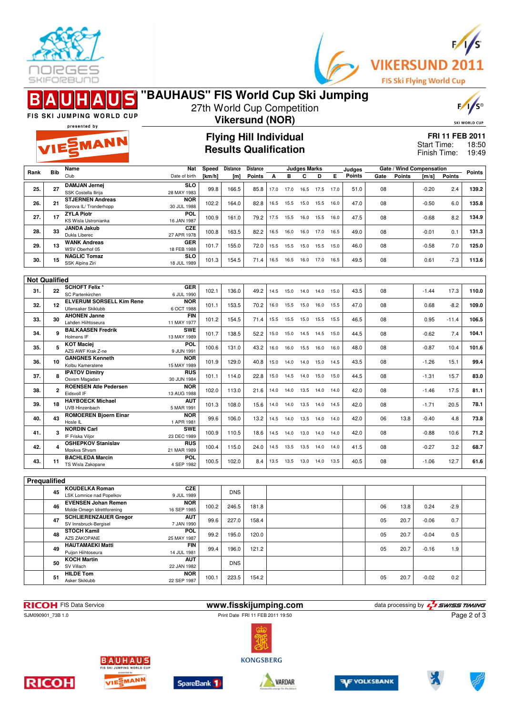



|      |                      | FIS SKI JUMPING WORLD CUP                                  | "BAUHAUS" FIS World Cup Ski Jumping |                                                                              |                               | 27th World Cup Competition   |      |                     |           |      |      |                          |                      |        |                             |         | $F/I/S^{\circ}$ |
|------|----------------------|------------------------------------------------------------|-------------------------------------|------------------------------------------------------------------------------|-------------------------------|------------------------------|------|---------------------|-----------|------|------|--------------------------|----------------------|--------|-----------------------------|---------|-----------------|
|      |                      | presented by                                               | <b>Vikersund (NOR)</b>              |                                                                              |                               |                              |      |                     |           |      |      |                          | <b>SKI WORLD CUP</b> |        |                             |         |                 |
|      |                      |                                                            |                                     |                                                                              | <b>Flying Hill Individual</b> |                              |      |                     |           |      |      |                          |                      |        | FRI 11 FEB 2011             |         |                 |
|      |                      | VIESMANN                                                   |                                     |                                                                              |                               | <b>Results Qualification</b> |      |                     |           |      |      |                          |                      |        | Start Time:<br>Finish Time: |         | 18:50<br>19:49  |
|      |                      | Name                                                       | Nat                                 | <b>Distance</b><br><b>Distance</b><br><b>Judges Marks</b><br>Speed<br>Judges |                               |                              |      |                     |           |      |      | Gate / Wind Compensation |                      |        |                             |         |                 |
| Rank | <b>Bib</b>           | Club                                                       | Date of birth                       | [km/h]                                                                       | [m]                           | <b>Points</b>                | А    | в                   | С         | D    | Е    | <b>Points</b>            | Gate                 | Points | [m/s]                       | Points  | <b>Points</b>   |
| 25.  | 27                   | <b>DAMJAN Jernej</b><br>SSK Costella Ilirija               | <b>SLO</b><br>28 MAY 1983           | 99.8                                                                         | 166.5                         | 85.8                         | 17.0 | 17.0                | 16.5      | 17.5 | 17.0 | 51.0                     | 08                   |        | $-0.20$                     | 2.4     | 139.2           |
| 26.  | 21                   | <b>STJERNEN Andreas</b>                                    | <b>NOR</b>                          | 102.2                                                                        | 164.0                         | 82.8                         | 16.5 | 15.5 15.0           |           | 15.5 | 16.0 | 47.0                     | 08                   |        | $-0.50$                     | 6.0     | 135.8           |
|      |                      | Sprova IL/ Tronderhopp<br><b>ZYLA Piotr</b>                | 30 JUL 1988<br><b>POL</b>           |                                                                              |                               |                              |      |                     |           |      |      |                          |                      |        |                             |         | 134.9           |
| 27.  | 17                   | <b>KS Wisla Ustronianka</b><br><b>JANDA Jakub</b>          | 16 JAN 1987<br><b>CZE</b>           | 100.9                                                                        | 161.0                         | 79.2                         | 17.5 | 15.5                | 16.0      | 15.5 | 16.0 | 47.5                     | 08                   |        | $-0.68$                     | 8.2     |                 |
| 28.  | 33                   | Dukla Liberec                                              | 27 APR 1978                         | 100.8                                                                        | 163.5                         | 82.2                         | 16.5 | 16.0                | 16.0      | 17.0 | 16.5 | 49.0                     | 08                   |        | $-0.01$                     | 0.1     | 131.3           |
| 29.  | 13                   | <b>WANK Andreas</b><br>WSV Oberhof 05                      | GER<br>18 FEB 1988                  | 101.7                                                                        | 155.0                         | 72.0                         | 15.5 | 15.5 15.0           |           | 15.5 | 15.0 | 46.0                     | 08                   |        | $-0.58$                     | 7.0     | 125.0           |
| 30.  | 15                   | <b>NAGLIC Tomaz</b>                                        | <b>SLO</b><br>18 JUL 1989           | 101.3                                                                        | 154.5                         | 71.4                         |      | 16.5 16.5 16.0 17.0 |           |      | 16.5 | 49.5                     | 08                   |        | 0.61                        | $-7.3$  | 113.6           |
|      |                      | SSK Alpina Ziri                                            |                                     |                                                                              |                               |                              |      |                     |           |      |      |                          |                      |        |                             |         |                 |
|      | <b>Not Qualified</b> |                                                            |                                     |                                                                              |                               |                              |      |                     |           |      |      |                          |                      |        |                             |         |                 |
| 31.  | 22                   | <b>SCHOFT Felix *</b><br>SC Partenkirchen                  | GER<br>6 JUL 1990                   | 102.1                                                                        | 136.0                         | 49.2                         | 14.5 | 15.0                | 14.0      | 14.0 | 15.0 | 43.5                     | 08                   |        | $-1.44$                     | 17.3    | 110.0           |
| 32.  | 12                   | <b>ELVERUM SORSELL Kim Rene</b><br>Ullensaker Skiklubb     | <b>NOR</b><br>6 OCT 1988            | 101.1                                                                        | 153.5                         | 70.2                         | 16.0 |                     | 15.5 15.0 | 16.0 | 15.5 | 47.0                     | 08                   |        | 0.68                        | $-8.2$  | 109.0           |
| 33.  | 30                   | <b>AHONEN Janne</b>                                        | <b>FIN</b>                          | 101.2                                                                        | 154.5                         | 71.4                         | 15.5 | 15.5 15.0           |           | 15.5 | 15.5 | 46.5                     | 08                   |        | 0.95                        | $-11.4$ | 106.5           |
|      | 9                    | Lahden Hiihtoseura<br><b>BALKAASEN Fredrik</b>             | 11 MAY 1977<br><b>SWE</b>           |                                                                              |                               |                              |      |                     |           |      |      |                          |                      |        |                             |         |                 |
| 34.  |                      | Holmens IF<br><b>KOT Maciej</b>                            | 13 MAY 1989<br><b>POL</b>           | 101.7                                                                        | 138.5                         | 52.2                         | 15.0 | 15.0                | 14.5      | 14.5 | 15.0 | 44.5                     | 08                   |        | $-0.62$                     | 7.4     | 104.1           |
| 35.  | 5                    | AZS AWF Krak Z-ne                                          | 9 JUN 1991                          | 100.6                                                                        | 131.0                         | 43.2                         | 16.0 | 16.0                | 15.5      | 16.0 | 16.0 | 48.0                     | 08                   |        | $-0.87$                     | 10.4    | 101.6           |
| 36.  | 10                   | <b>GANGNES Kenneth</b><br>Kolbu Kameratene                 | <b>NOR</b><br>15 MAY 1989           | 101.9                                                                        | 129.0                         | 40.8                         | 15.0 | 14.0                | 14.0      | 15.0 | 14.5 | 43.5                     | 08                   |        | $-1.26$                     | 15.1    | 99.4            |
| 37.  | 8                    | <b>IPATOV Dimitry</b><br>Osvsm Magadan                     | RUS<br>30 JUN 1984                  | 101.1                                                                        | 114.0                         | 22.8                         | 15.0 | 14.5 14.0           |           | 15.0 | 15.0 | 44.5                     | 08                   |        | $-1.31$                     | 15.7    | 83.0            |
| 38.  | $\mathbf 2$          | <b>ROENSEN Atle Pedersen</b><br>Eidsvoll IF                | <b>NOR</b><br>13 AUG 1988           | 102.0                                                                        | 113.0                         | 21.6                         | 14.0 | 14.0                | 13.5      | 14.0 | 14.0 | 42.0                     | 08                   |        | $-1.46$                     | 17.5    | 81.1            |
| 39.  | 18                   | <b>HAYBOECK Michael</b>                                    | <b>AUT</b>                          | 101.3                                                                        | 108.0                         | 15.6                         | 14.0 | 14.0                | 13.5      | 14.0 | 14.5 | 42.0                     | 08                   |        | $-1.71$                     | 20.5    | 78.1            |
|      |                      | <b>UVB Hinzenbach</b><br><b>ROMOEREN Bjoern Einar</b>      | 5 MAR 1991<br><b>NOR</b>            |                                                                              |                               |                              |      |                     |           |      |      |                          |                      |        |                             |         |                 |
| 40.  | 43                   | Hosle IL                                                   | 1 APR 1981                          | 99.6                                                                         | 106.0                         | 13.2                         | 14.5 | 14.0                | 13.5      | 14.0 | 14.0 | 42.0                     | 06                   | 13.8   | $-0.40$                     | 4.8     | 73.8            |
| 41.  | 3                    | <b>NORDIN Carl</b><br>IF Friska Viljor                     | <b>SWE</b><br>23 DEC 1989           | 100.9                                                                        | 110.5                         | 18.6                         |      | 14.5 14.0 13.0 14.0 |           |      | 14.0 | 42.0                     | 08                   |        | $-0.88$                     | 10.6    | 71.2            |
| 42.  | 4                    | <b>OSHEPKOV Stanislav</b><br>Moskva Shvsm                  | RUS<br>21 MAR 1989                  | 100.4                                                                        | 115.0                         | 24.0                         | 14.5 | 13.5 13.5           |           | 14.0 | 14.0 | 41.5                     | 08                   |        | $-0.27$                     | 3.2     | 68.7            |
| 43.  | 11                   | <b>BACHLEDA Marcin</b><br>TS Wisla Zakopane                | <b>POL</b><br>4 SEP 1982            | 100.5                                                                        | 102.0                         | 8.4                          | 13.5 | 13.5 13.0 14.0      |           |      | 13.5 | 40.5                     | 08                   |        | $-1.06$                     | 12.7    | 61.6            |
|      |                      |                                                            |                                     |                                                                              |                               |                              |      |                     |           |      |      |                          |                      |        |                             |         |                 |
|      | Prequalified         |                                                            |                                     |                                                                              |                               |                              |      |                     |           |      |      |                          |                      |        |                             |         |                 |
|      | 45                   | <b>KOUDELKA Roman</b><br>LSK Lomnice nad Popelkov          | <b>CZE</b><br>9 JUL 1989            |                                                                              | <b>DNS</b>                    |                              |      |                     |           |      |      |                          |                      |        |                             |         |                 |
|      | 46                   | <b>EVENSEN Johan Remen</b>                                 | <b>NOR</b>                          | 100.2                                                                        | 246.5                         | 181.8                        |      |                     |           |      |      |                          | 06                   | 13.8   | 0.24                        | $-2.9$  |                 |
|      |                      | Molde Omegn Idrettforening<br><b>SCHLIERENZAUER Gregor</b> | 16 SEP 1985<br><b>AUT</b>           |                                                                              |                               |                              |      |                     |           |      |      |                          |                      |        |                             |         |                 |
|      | 47                   | SV Innsbruck-Bergisel<br><b>STOCH Kamil</b>                | 7 JAN 1990<br><b>POL</b>            | 99.6                                                                         | 227.0                         | 158.4                        |      |                     |           |      |      |                          | 05                   | 20.7   | $-0.06$                     | 0.7     |                 |
|      | 48                   | AZS ZAKOPANE                                               | 25 MAY 1987                         | 99.2                                                                         | 195.0                         | 120.0                        |      |                     |           |      |      |                          | 05                   | 20.7   | $-0.04$                     | 0.5     |                 |
|      | 49                   | <b>HAUTAMAEKI Matti</b><br>Puijon Hiihtoseura              | <b>FIN</b><br>14 JUL 1981           | 99.4                                                                         | 196.0                         | 121.2                        |      |                     |           |      |      |                          | 05                   | 20.7   | $-0.16$                     | 1.9     |                 |
|      | 50                   | <b>KOCH Martin</b><br>SV Villach                           | <b>AUT</b><br>22 JAN 1982           |                                                                              | <b>DNS</b>                    |                              |      |                     |           |      |      |                          |                      |        |                             |         |                 |
|      | 51                   | <b>HILDE Tom</b>                                           | <b>NOR</b>                          | 100.1                                                                        | 223.5                         | 154.2                        |      |                     |           |      |      |                          | 05                   | 20.7   | $-0.02$                     | 0.2     |                 |
|      |                      | Asker Skiklubb                                             | 22 SEP 1987                         |                                                                              |                               |                              |      |                     |           |      |      |                          |                      |        |                             |         |                 |

Print Date FRI 11 FEB 2011 19:50

**RICOH** FIS Data Service **www.fisskijumping.com** data processing by  $\frac{7}{2}$  SWISS TIMING SJM090901\_73B 1.0 Print Date FRI 11 FEB 2011 19:50 Page 2 of 3

**KONGSBERG**